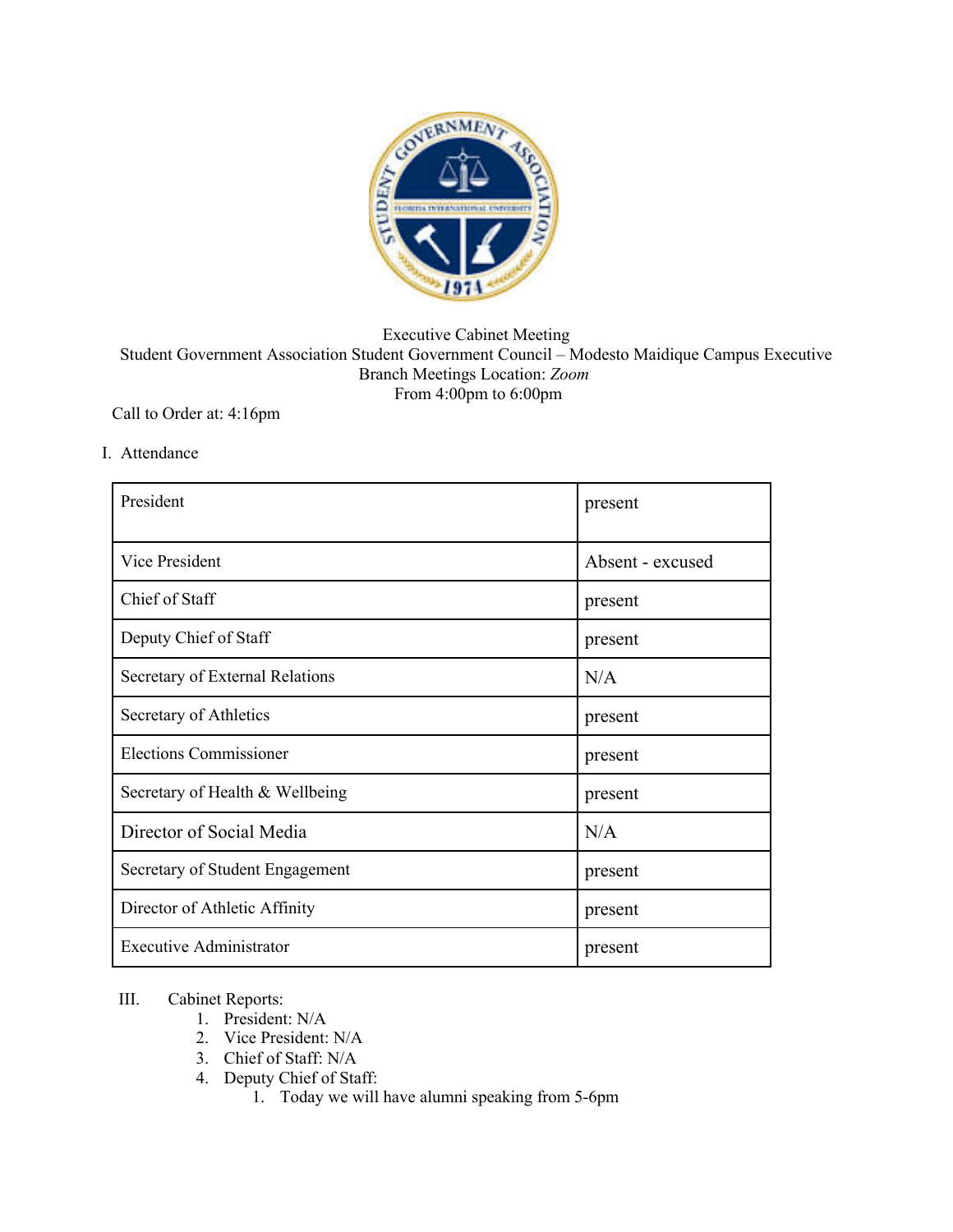

## Executive Cabinet Meeting Student Government Association Student Government Council – Modesto Maidique Campus Executive Branch Meetings Location: *Zoom* From 4:00pm to 6:00pm

Call to Order at: 4:16pm

## I. Attendance

| President                       | present          |
|---------------------------------|------------------|
| Vice President                  | Absent - excused |
| Chief of Staff                  | present          |
| Deputy Chief of Staff           | present          |
| Secretary of External Relations | N/A              |
| Secretary of Athletics          | present          |
| <b>Elections Commissioner</b>   | present          |
| Secretary of Health & Wellbeing | present          |
| Director of Social Media        | N/A              |
| Secretary of Student Engagement | present          |
| Director of Athletic Affinity   | present          |
| <b>Executive Administrator</b>  | present          |

## III. Cabinet Reports:

- 1. President: N/A
- 2. Vice President: N/A
- 3. Chief of Staff: N/A
- 4. Deputy Chief of Staff:
	- 1. Today we will have alumni speaking from 5-6pm